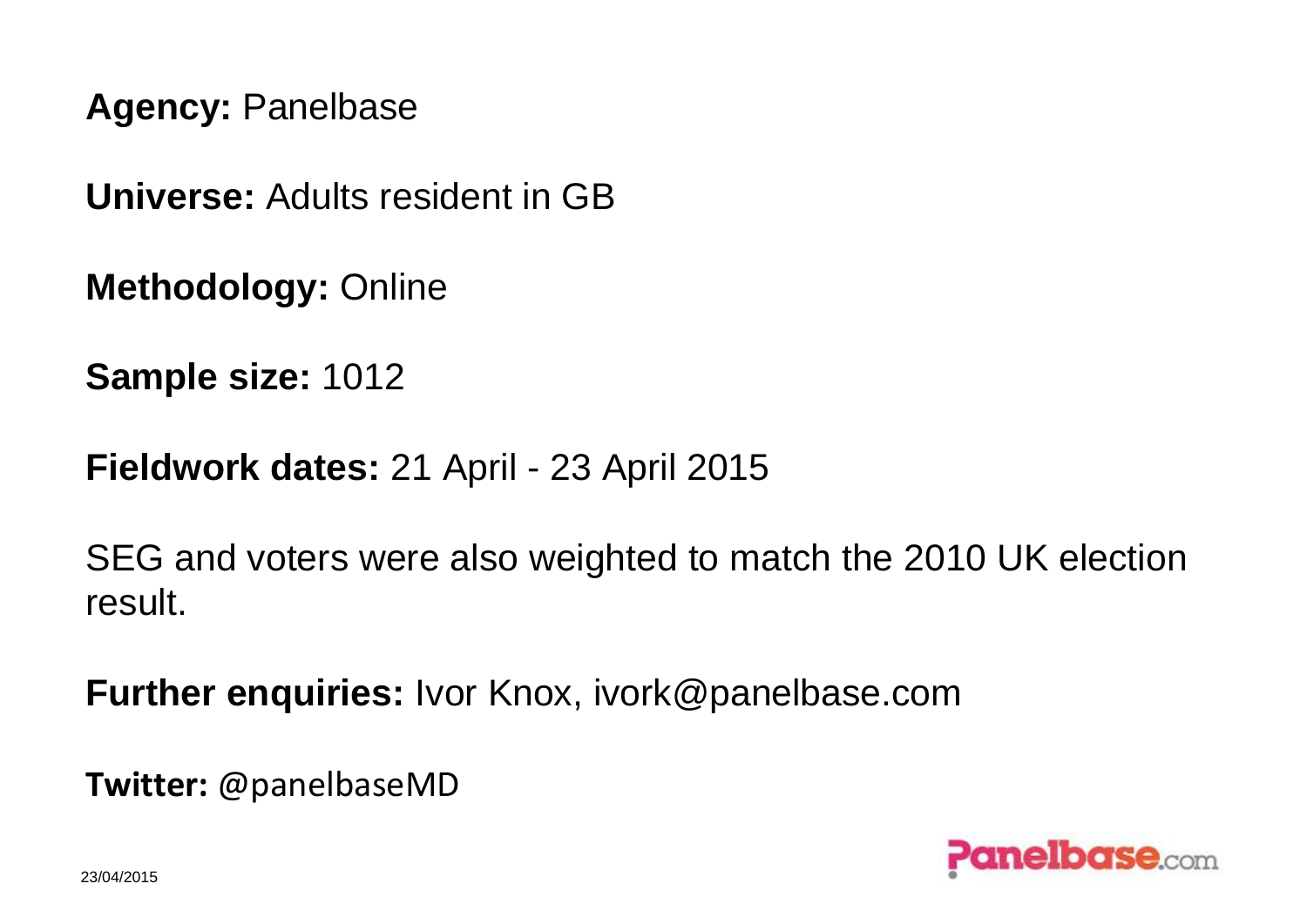**Agency:** Panelbase

**Universe:** Adults resident in GB

**Methodology:** Online

**Sample size:** 1012

**Fieldwork dates:** 21 April - 23 April 2015

SEG and voters were also weighted to match the 2010 UK election result.

**Further enquiries:** Ivor Knox, ivork@panelbase.com

**Twitter:** @panelbaseMD

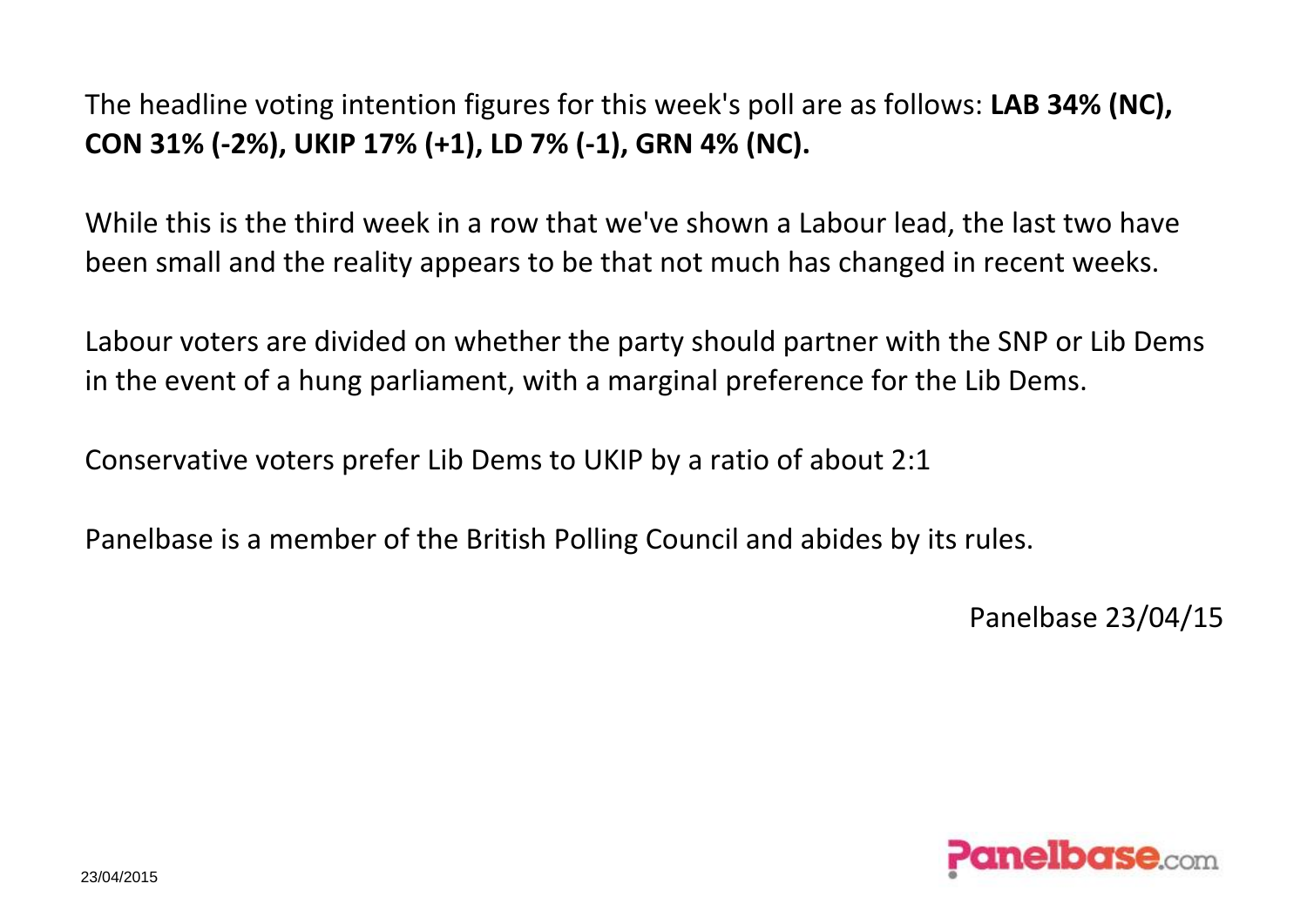The headline voting intention figures for this week's poll are as follows: **LAB 34% (NC), CON 31% (-2%), UKIP 17% (+1), LD 7% (-1), GRN 4% (NC).**

While this is the third week in a row that we've shown a Labour lead, the last two have been small and the reality appears to be that not much has changed in recent weeks.

Labour voters are divided on whether the party should partner with the SNP or Lib Dems in the event of a hung parliament, with a marginal preference for the Lib Dems.

Conservative voters prefer Lib Dems to UKIP by a ratio of about 2:1

Panelbase is a member of the British Polling Council and abides by its rules.

Panelbase 23/04/15

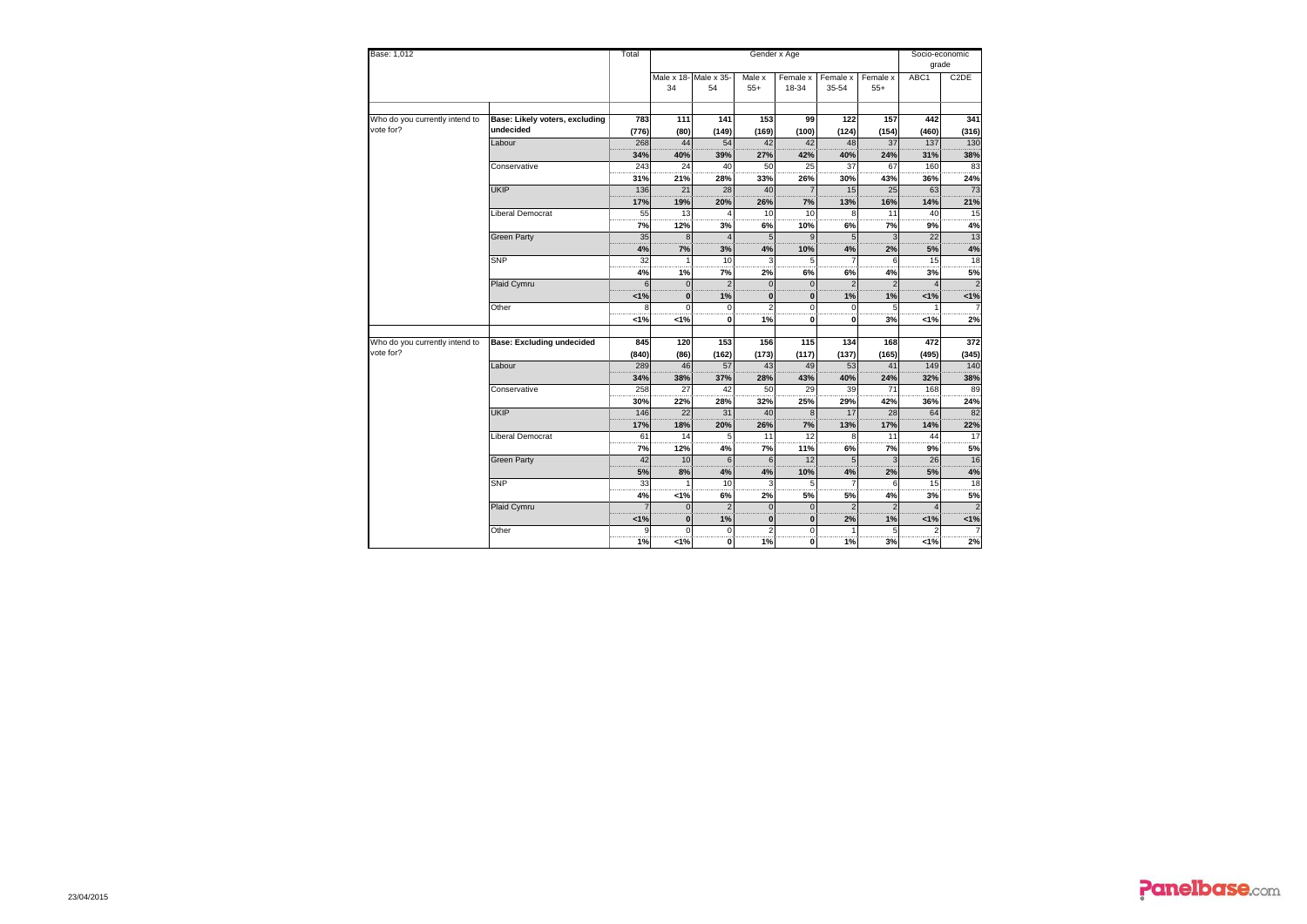| Base: 1,012                    |                                  |       |              |                       | Socio-economic  |                 |                |          |       |                   |
|--------------------------------|----------------------------------|-------|--------------|-----------------------|-----------------|-----------------|----------------|----------|-------|-------------------|
|                                |                                  |       |              |                       |                 |                 |                |          | grade |                   |
|                                |                                  |       |              | Male x 18- Male x 35- | Male x          | Female x        | Female x       | Female x | ABC1  | C <sub>2</sub> DE |
|                                |                                  |       | 34           | 54                    | $55+$           | 18-34           | 35-54          | $55+$    |       |                   |
|                                |                                  |       |              |                       |                 |                 |                |          |       |                   |
| Who do you currently intend to | Base: Likely voters, excluding   | 783   | 111          | 141                   | 153             | 99              | 122            | 157      | 442   | 341               |
| vote for?                      | undecided                        | (776) | (80)         | (149)                 | (169)           | (100)           | (124)          | (154)    | (460) | (316)             |
|                                | Labour                           | 268   | 44           | 54                    | 42              | 42              | 48             | 37       | 137   | 130               |
|                                |                                  | 34%   | 40%          | 39%                   | 27%             | 42%             | 40%            | 24%      | 31%   | 38%               |
|                                | Conservative                     | 243   | 24           | 40                    | 50              | $\overline{25}$ | 37             | 67       | 160   | 83                |
|                                |                                  | 31%   | 21%          | 28%                   | 33%             | 26%             | 30%            | 43%      | 36%   | 24%               |
|                                | <b>UKIP</b>                      | 136   | 21           | 28                    | 40              |                 | 15             | 25       | 63    | 73                |
|                                |                                  | 17%   | 19%          | 20%                   | 26%             | 7%              | 13%            | 16%      | 14%   | 21%               |
|                                | Liberal Democrat                 | 55    | 13           |                       | 10 <sup>1</sup> | 10              | 8              | 11       | 40    | 15                |
|                                |                                  | 7%    | 12%          | 3%                    | 6%              | 10%             | 6%             | 7%       | 9%    | 4%                |
|                                | <b>Green Party</b>               | 35    | 8            |                       | 5 <sup>1</sup>  | $\mathbf{Q}$    | 5              |          | 22    | 13                |
|                                |                                  | 4%    | 7%           | 3%                    | 4%              | 10%             | 4%             | 2%       | 5%    | 4%                |
|                                | <b>SNP</b>                       | 32    |              | 10                    | 3               |                 |                |          | 15    | 18                |
|                                |                                  | 4%    | 1%           | 7%                    | 2%              | 6%              | 6%             | 4%       | 3%    | 5%                |
|                                | Plaid Cymru                      | 6     | $\mathbf{0}$ | $\overline{2}$        | $\Omega$        | $\Omega$        | $\mathfrak{p}$ |          |       |                   |
|                                |                                  | 1%    | $\bf{0}$     | 1%                    | $\mathbf{0}$    | $\bf{0}$        | 1%             | 1%       | 1%    | 1%                |
|                                | Other                            |       | $\Omega$     | $\Omega$              | $\overline{2}$  | $\Omega$        | $\Omega$       |          |       |                   |
|                                |                                  | 1%    | 1%           | 0                     | 1%              | $\mathbf{0}$    | 0              | 3%       | 1%    | 2%                |
|                                |                                  |       |              |                       |                 |                 |                |          |       |                   |
| Who do you currently intend to | <b>Base: Excluding undecided</b> | 845   | 120          | 153                   | 156             | 115             | 134            | 168      | 472   | 372               |
| vote for?                      |                                  | (840) | (86)         | (162)                 | (173)           | (117)           | (137)          | (165)    | (495) | (345)             |
|                                | Labour                           | 289   | 46           | 57                    | 43              | 49              | 53             | 41       | 149   | 140               |
|                                |                                  | 34%   | 38%          | 37%                   | 28%             | 43%             | 40%            | 24%      | 32%   | 38%               |
|                                | Conservative                     | 258   | 27           | 42                    | 50              | 29              | 39             | 71       | 168   | 89                |
|                                |                                  | 30%   | 22%          | 28%                   | 32%             | 25%             | 29%            | 42%      | 36%   | 24%               |
|                                | <b>UKIP</b>                      | 146   | 22           | 31                    | 40              | $\mathbf{8}$    | 17             | 28       | 64    | 82                |
|                                |                                  | 17%   | 18%          | 20%                   | 26%             | 7%              | 13%            | 17%      | 14%   | 22%               |
|                                | Liberal Democrat                 | 61    | 14           | 5                     | 11              | 12              | 8              | 11       | 44    | 17                |
|                                |                                  | 7%    | 12%          | 4%                    | 7%              | 11%             | 6%             | 7%       | 9%    | 5%                |
|                                | <b>Green Party</b>               | 42    | 10           | 6                     | 6               | 12              | 5              |          | 26    | 16                |
|                                |                                  | 5%    | 8%           | 4%                    | 4%              | 10%             | 4%             | 2%       | 5%    | $4\%$             |
|                                | <b>SNP</b>                       | 33    |              | 10                    | $\mathbf{3}$    | 5               |                | 6        | 15    | 18                |
|                                |                                  |       | 4%<br>1%     | 6%                    | 2%              | 5%              | 5%             | 4%       | 3%    | 5%                |
|                                | Plaid Cymru                      |       | $\Omega$     |                       | $\Omega$        | $\Omega$        |                |          |       |                   |
|                                |                                  | 1%    | $\bf{0}$     | 1%                    | $\mathbf{0}$    | $\bf{0}$        | 2%             | 1%       | 1%    | 1%                |
|                                | Other                            |       | $\Omega$     | $\Omega$              | $\overline{2}$  | $\Omega$        |                |          |       |                   |
|                                |                                  | 1%    | 1%           | οl                    | 1%              | 0               | 1%             | 3%       | 1%    | 2%                |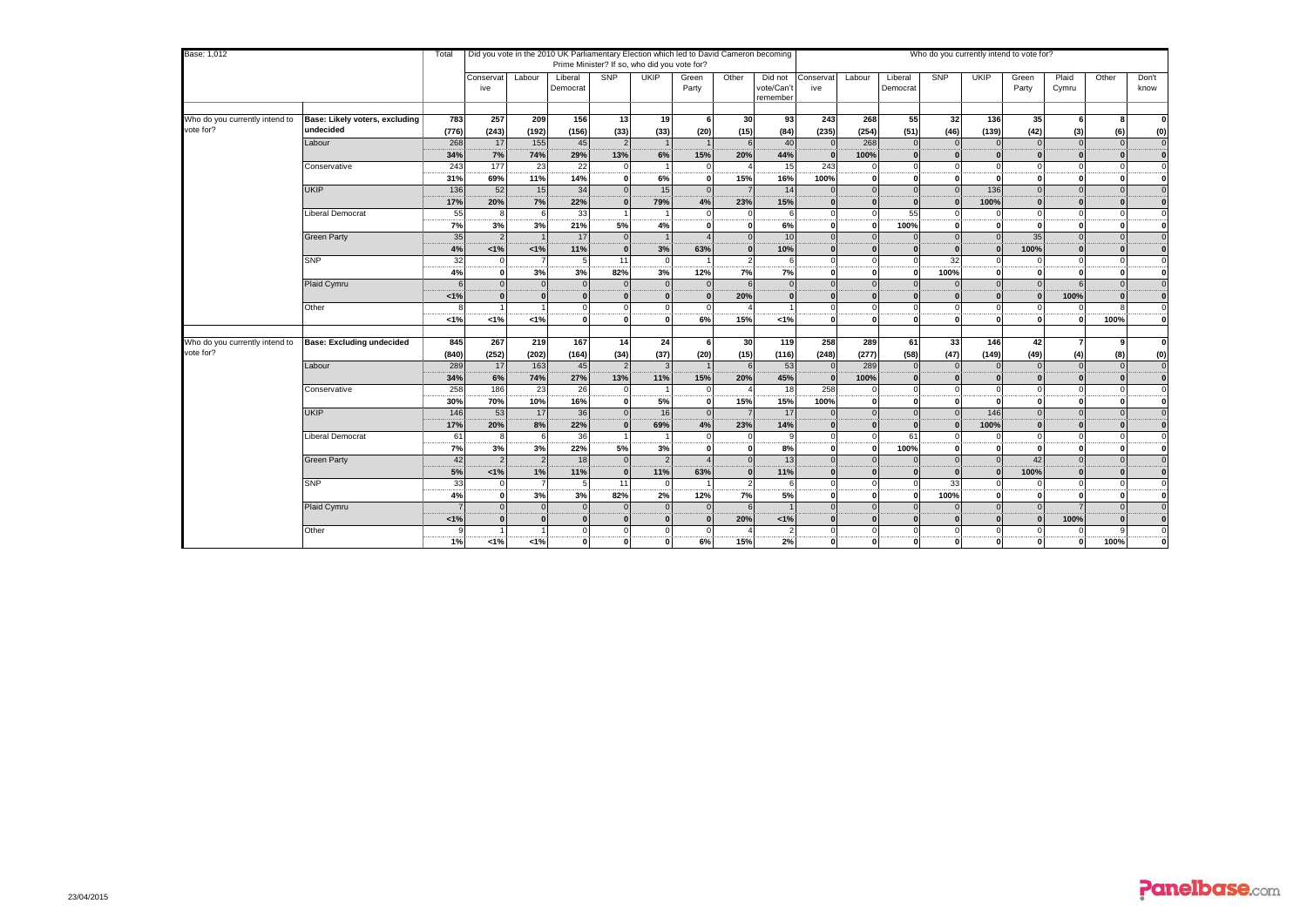| Base: 1,012                    |                                  |          | Did you vote in the 2010 UK Parliamentary Election which led to David Cameron becoming<br>Who do you currently intend to vote for?<br>Total<br>Prime Minister? If so, who did you vote for? |                      |                          |                      |                      |                |              |                                   |                  |                          |                      |                 |             |                          |                |              |                         |
|--------------------------------|----------------------------------|----------|---------------------------------------------------------------------------------------------------------------------------------------------------------------------------------------------|----------------------|--------------------------|----------------------|----------------------|----------------|--------------|-----------------------------------|------------------|--------------------------|----------------------|-----------------|-------------|--------------------------|----------------|--------------|-------------------------|
|                                |                                  |          | Conservat<br>ive                                                                                                                                                                            | Labour               | Liberal<br>Democrat      | SNP                  | <b>UKIP</b>          | Green<br>Party | Other        | Did not<br>vote/Can't<br>remember | Conservat<br>ive | Labour                   | Liberal<br>Democrat  | <b>SNP</b>      | <b>UKIP</b> | Green<br>Party           | Plaid<br>Cymru | Other        | Don't<br>know           |
| Who do you currently intend to | Base: Likely voters, excluding   | 783      | 257                                                                                                                                                                                         | 209                  | 156                      | 13                   | 19                   | 6              | 30           | 93                                | 243              | 268                      | 55                   | 32 <sup>l</sup> | 136         | 35                       | 6              | 8            | $\bf{0}$                |
| vote for?                      | undecided                        | (776)    | (243)                                                                                                                                                                                       | (192)                | (156)                    | (33)                 | (33)                 | (20)           | (15)         | (84)                              | (235)            | (254)                    | (51)                 | (46)            | (139)       | (42)                     | (3)            | (6)          | (0)                     |
|                                | Labour                           | 268      | 17                                                                                                                                                                                          | 155                  | 45                       | $\overline{2}$       |                      |                |              | 40                                |                  | 268                      | $\Omega$             |                 |             | $\Omega$                 | $\Omega$       | $\Omega$     | $\mathbf 0$             |
|                                |                                  | 34%      | 7%                                                                                                                                                                                          | 74%                  | 29%                      | 13%                  | 6%                   | 15%            | 20%          | 44%                               |                  | 100%                     |                      | $\sqrt{2}$      |             |                          |                |              | $\bf{0}$                |
|                                | Conservative                     | 243      | 177                                                                                                                                                                                         | 23                   | 22                       | $\Omega$             |                      |                |              | 15                                | 243              | C                        |                      |                 |             |                          |                |              | $\mathbf 0$             |
|                                |                                  | 31%      | 69%                                                                                                                                                                                         | 11%                  | 14%                      | $\Omega$             | 6%                   |                | 15%          | 16%                               | 100%             | $\mathbf{0}$             | $\Omega$             | n               |             | $\Omega$                 |                | $\Omega$     | $\bf{0}$                |
|                                | <b>UKIP</b>                      | 136      | 52                                                                                                                                                                                          | 15                   | 34                       | $\Omega$             | 15                   |                |              | 14                                |                  | $\Omega$                 | $\Omega$             |                 | 136         | $\Omega$                 |                |              | $\mathbf 0$             |
|                                |                                  | 17%      | 20%                                                                                                                                                                                         | 7%                   | 22%                      | $\Omega$             | 79%                  | 4%             | 23%          | 15%                               |                  | $\Omega$                 |                      | $\mathbf{r}$    | 100%        |                          |                |              | $\bf{0}$                |
|                                | Liberal Democrat                 | 55       |                                                                                                                                                                                             | 6                    | 33                       |                      |                      |                |              |                                   |                  | $\Omega$                 | 55                   |                 |             | $\Omega$                 |                |              | $\mathbf 0$             |
|                                |                                  | 7%       | 3%                                                                                                                                                                                          | 3%                   | 21%                      | 5%                   | 4%                   |                | $\mathbf{0}$ | 6%                                |                  | $\Omega$                 | 100%                 | $\Omega$        |             | $\Omega$                 |                |              | $\bf{0}$                |
|                                | <b>Green Party</b>               | 35       |                                                                                                                                                                                             |                      | 17                       | $\overline{0}$       |                      |                |              | 10                                |                  | $\Omega$                 |                      | $\Omega$        |             | 35                       |                |              | $\mathbf 0$             |
|                                |                                  | 4%       | 1%                                                                                                                                                                                          | 1%                   | 11%                      | $\Omega$             | 3%                   | 63%            | $\Omega$     | 10%                               |                  | n                        |                      | $\sqrt{ }$      |             | 100%                     |                |              | $\mathbf 0$             |
|                                | <b>SNP</b>                       | 32       | $\Omega$                                                                                                                                                                                    |                      | 5<br>3%                  | 11                   |                      |                |              |                                   |                  |                          |                      | 32              |             |                          |                |              | $\Omega$                |
|                                |                                  | 4%       | ΩI<br>$\Omega$                                                                                                                                                                              | 3%<br>$\Omega$       |                          | 82%<br>$\Omega$      | 3%<br>$\Omega$       | 12%            | 7%           | 7%                                |                  | $\Omega$<br>$\Omega$     | $\Omega$<br>$\Omega$ | 100%            | n           | $\mathbf{r}$<br>$\Omega$ |                | $\Omega$     | 0                       |
|                                | Plaid Cymru                      |          | $\Omega$                                                                                                                                                                                    |                      | $\overline{0}$           |                      | $\Omega$             |                |              |                                   |                  | $\Omega$                 |                      | $\sqrt{2}$      |             |                          |                |              | $\mathbf 0$             |
|                                | Other                            | < 1%     |                                                                                                                                                                                             |                      | $\mathbf{0}$<br>$\Omega$ | $\bf{0}$<br>$\Omega$ |                      |                | 20%          |                                   |                  | $\Omega$                 |                      |                 |             |                          | 100%           |              | $\bf{0}$<br>$\mathbf 0$ |
|                                |                                  | $< 1\%$  | 1%                                                                                                                                                                                          | 1%                   | $\mathbf{0}$             | $\Omega$             | $\Omega$             | 6%             | 15%          | $< 1\%$                           | $\Omega$         | $\Omega$                 | $\Omega$             | $\Omega$        | $\Omega$    | $\Omega$                 |                | 100%         | 0                       |
|                                |                                  |          |                                                                                                                                                                                             |                      |                          |                      |                      |                |              |                                   |                  |                          |                      |                 |             |                          |                |              |                         |
| Who do you currently intend to | <b>Base: Excluding undecided</b> | 845      | 267                                                                                                                                                                                         | 219                  | 167                      | 14                   | 24                   | 6              | 30           | 119                               | 258              | 289                      | 61                   | 33              | $146$       | 42                       | 7              | $\mathbf{Q}$ | $\bf{0}$                |
| vote for?                      |                                  | (840)    | (252)                                                                                                                                                                                       | (202)                | (164)                    | (34)                 | (37)                 | (20)           | (15)         | (116)                             | (248)            | (277)                    | (58)                 | (47)            | (149)       | (49)                     | (4)            | (8)          | (0)                     |
|                                | Labour                           | 289      | 17                                                                                                                                                                                          | 163                  | 45                       | $\overline{2}$       |                      |                |              | 53                                | $\Omega$         | 289                      | $\Omega$             | $\Omega$        | $\Omega$    | $\Omega$                 | $\Omega$       | $\Omega$     | $\overline{0}$          |
|                                |                                  | 34%      | 6%                                                                                                                                                                                          | 74%                  | 27%                      | 13%                  | 11%                  | 15%            | 20%          | 45%                               |                  | 100%                     |                      |                 |             |                          |                |              | $\bf{0}$                |
|                                | Conservative                     | 258      | 186                                                                                                                                                                                         | 23                   | 26                       | $\Omega$             |                      |                |              | 18                                | 258              | $\Omega$                 |                      | $\Omega$        | $\Omega$    | $\Omega$                 |                |              | $\mathbf 0$             |
|                                |                                  | 30%      | 70%                                                                                                                                                                                         | 10%                  | 16%                      | $\mathbf{0}$         | 5%                   |                | 15%          | 15%                               | 100%             | $\mathbf 0$              | $\Omega$             | n               |             | $\Omega$                 |                |              | $\bf{0}$                |
|                                | <b>UKIP</b>                      | 146      | 53                                                                                                                                                                                          | 17                   | 36                       | $\Omega$             | 16                   |                |              | 17                                |                  | $\Omega$                 | $\Omega$             |                 | 146         | $\Omega$                 |                |              | $\mathbf 0$             |
|                                |                                  | 17%      | 20%                                                                                                                                                                                         | 8%                   | 22%                      | $\Omega$             | 69%                  | 4%             | 23%          | 14%                               |                  | $\Omega$                 |                      |                 | 100%        |                          |                |              | $\bf{0}$                |
|                                | <b>Liberal Democrat</b>          | 61       | 8                                                                                                                                                                                           | 6                    | 36                       |                      |                      | $\Omega$       | $\Omega$     |                                   | $\Omega$         | $\Omega$                 | 61                   | $\Omega$        | $\Omega$    | $\Omega$                 |                | $\Omega$     | $\mathbf 0$             |
|                                | <b>Green Party</b>               | 7%<br>42 | 3%<br>$\mathcal{P}$                                                                                                                                                                         | 3%<br>2 <sup>1</sup> | 22%<br>18                | 5%<br>$\Omega$       | 3%<br>$\overline{2}$ |                | 0            | 8%<br>13                          |                  | $\mathbf{0}$<br>$\Omega$ | 100%<br>$\Omega$     | O<br>$\Omega$   |             | 42                       |                |              | 0<br>$\mathbf{0}$       |
|                                |                                  | 5%       | 1%                                                                                                                                                                                          | 1%                   | 11%                      | $\Omega$             | 11%                  | 63%            |              | 11%                               |                  | $\Omega$                 |                      |                 |             | 100%                     |                |              | $\bf{0}$                |
|                                | <b>SNP</b>                       | 33       | $\Omega$                                                                                                                                                                                    | $\overline{7}$       | 5                        | 11                   | $\Omega$             |                |              |                                   |                  | $\Omega$                 | $\Omega$             | 33              | $\Omega$    | $\Omega$                 |                |              | $\Omega$                |
|                                |                                  | 4%       | $\Omega$                                                                                                                                                                                    | 3%                   | -----<br>3%              | 82%                  | <br>2%               | 12%            | 7%           | 5%                                | n                | $\Omega$                 | $\Omega$             | 100%            |             |                          |                |              | 0                       |
|                                | Plaid Cymru                      |          | $\Omega$                                                                                                                                                                                    |                      | $\overline{0}$           | $\Omega$             | $\Omega$             | $\Omega$       |              |                                   |                  | $\Omega$                 | $\Omega$             |                 |             | $\Omega$                 |                |              | $\mathbf{0}$            |
|                                |                                  | 1%       | $\Omega$                                                                                                                                                                                    |                      | $\bf{0}$                 |                      |                      |                | 20%          | 1%                                |                  | $\Omega$                 |                      |                 |             |                          | 100%           |              | $\bf{0}$                |
|                                | Other                            |          |                                                                                                                                                                                             |                      | $\mathbf{0}$             | $\Omega$             |                      |                |              |                                   |                  | $\Omega$                 | $\Omega$             |                 | ΩI          |                          |                |              | $\mathbf 0$             |
|                                |                                  | 1%       | 1%                                                                                                                                                                                          | $1\%$                | $\overline{\bullet}$     | $\mathbf{0}$         |                      | 6%             | 15%          | 2%                                |                  | $\mathbf{0}$             | $\mathbf{0}$         | $\Omega$        | 0           |                          | $\mathbf 0$    | 100%         | $\bf{0}$                |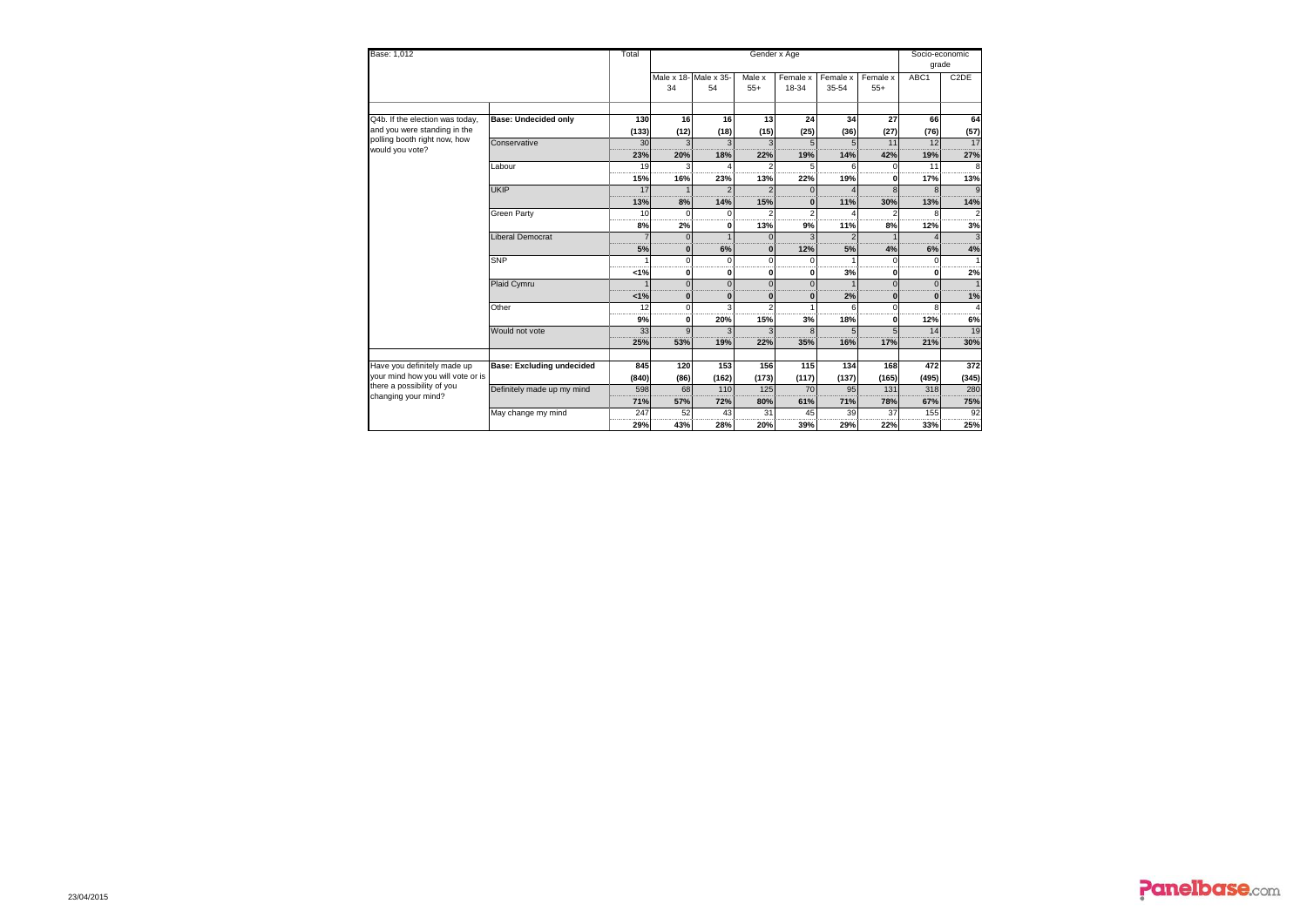| Base: 1,012                                                          |                                  |           |                       |              |                         | Socio-economic |                |          |              |                   |
|----------------------------------------------------------------------|----------------------------------|-----------|-----------------------|--------------|-------------------------|----------------|----------------|----------|--------------|-------------------|
|                                                                      |                                  |           |                       |              |                         |                |                |          |              | grade             |
|                                                                      |                                  |           | Male x 18- Male x 35- |              | Male x                  | Female x       | Female x       | Female x | ABC1         | C <sub>2</sub> DE |
|                                                                      |                                  |           | 34                    | 54           | $55+$                   | 18-34          | 35-54          | $55+$    |              |                   |
|                                                                      |                                  |           |                       |              |                         |                |                |          |              |                   |
| Q4b. If the election was today,                                      | <b>Base: Undecided only</b>      | 130       | 16                    | 16           | 13                      | 24             | 34             | 27       | 66           | 64                |
| and you were standing in the<br>polling booth right now, how         |                                  | (133)     | (12)                  | (18)         | (15)                    | (25)           | (36)           | (27)     | (76)         | (57)              |
| would you vote?                                                      | Conservative                     | 30        |                       |              | $\overline{\mathbf{3}}$ |                | $\overline{a}$ | 11       | 12           | 17                |
|                                                                      |                                  | 23%       | 20%                   | 18%          | 22%                     | 19%            | 14%            | 42%      | 19%          | 27%               |
|                                                                      | Labour                           | 19<br>15% | 16%                   | 23%          | 13%                     | 22%            | 19%            | n        | 11<br>17%    | 13%               |
|                                                                      | <b>UKIP</b>                      | 17        |                       |              |                         |                |                |          |              |                   |
|                                                                      |                                  | 13%       | 8%                    | 14%          | 15%                     | ŋ              | 11%            | 30%      | 13%          | 14%               |
|                                                                      | Green Party                      | 10        | $\Omega$              | c            |                         |                |                |          | $\mathsf{R}$ |                   |
|                                                                      |                                  | 8%        | 2%                    | O            | 13%                     | 9%             | 11%            | 8%       | 12%          | 3%                |
|                                                                      | Liberal Democrat                 |           | $\Omega$              |              |                         |                |                |          |              |                   |
|                                                                      |                                  | 5%        | $\bf{0}$              | 6%           | $\bf{0}$                | 12%            | 5%             | 4%       | 6%           | 4%                |
|                                                                      | SNP                              |           | $\Omega$              | $\Omega$     | $\Omega$                |                |                | $\Omega$ | $\Omega$     |                   |
|                                                                      |                                  | 1%        | 0                     | $\mathbf{0}$ | $\mathbf{0}$            | 0              | 3%             | 0        | 0            | 2%                |
|                                                                      | Plaid Cymru                      |           | $\Omega$              | $\Omega$     | $\Omega$                |                |                |          | $\Omega$     |                   |
|                                                                      |                                  | 1%        | $\bf{0}$              | $\bf{0}$     | $\bf{0}$                | ŋ              | 2%             | 0        | O            | 1%                |
|                                                                      | Other                            | 12        | $\Omega$              | 3            | C                       |                | 6              | $\Omega$ | $\mathbf{R}$ |                   |
|                                                                      |                                  | 9%        | $\mathbf{0}$          | 20%          | 15%                     | 3%             | 18%            | 0        | 12%          | 6%                |
|                                                                      | Would not vote                   | 33        |                       |              |                         |                |                |          | 14           | 19                |
|                                                                      |                                  | 25%       | 53%                   | 19%          | 22%                     | 35%            | 16%            | 17%      | 21%          | 30%               |
|                                                                      |                                  |           |                       |              |                         |                |                |          |              |                   |
| Have you definitely made up                                          | <b>Base: Excluding undecided</b> | 845       | 120                   | 153          | 156                     | 115            | 134            | 168      | 472          | 372               |
| I<br>your mind how you will vote or is<br>there a possibility of you |                                  | (840)     | (86)                  | (162)        | (173)                   | (117)          | (137)          | (165)    | (495)        | (345)             |
| changing your mind?                                                  | Definitely made up my mind       | 598       | 68                    | 110          | 125                     | 70             | 95             | 131      | 318          | 280               |
|                                                                      |                                  | 71%       | 57%                   | 72%          | 80%                     | 61%            | 71%            | 78%      | 67%          | 75%               |
|                                                                      | May change my mind               | 247       | 52                    | 43           | 31                      | 45             | 39             | 37       | 155          | 92                |
|                                                                      |                                  | 29%       | 43%                   | 28%          | 20%                     | 39%            | 29%            | 22%      | 33%          | 25%               |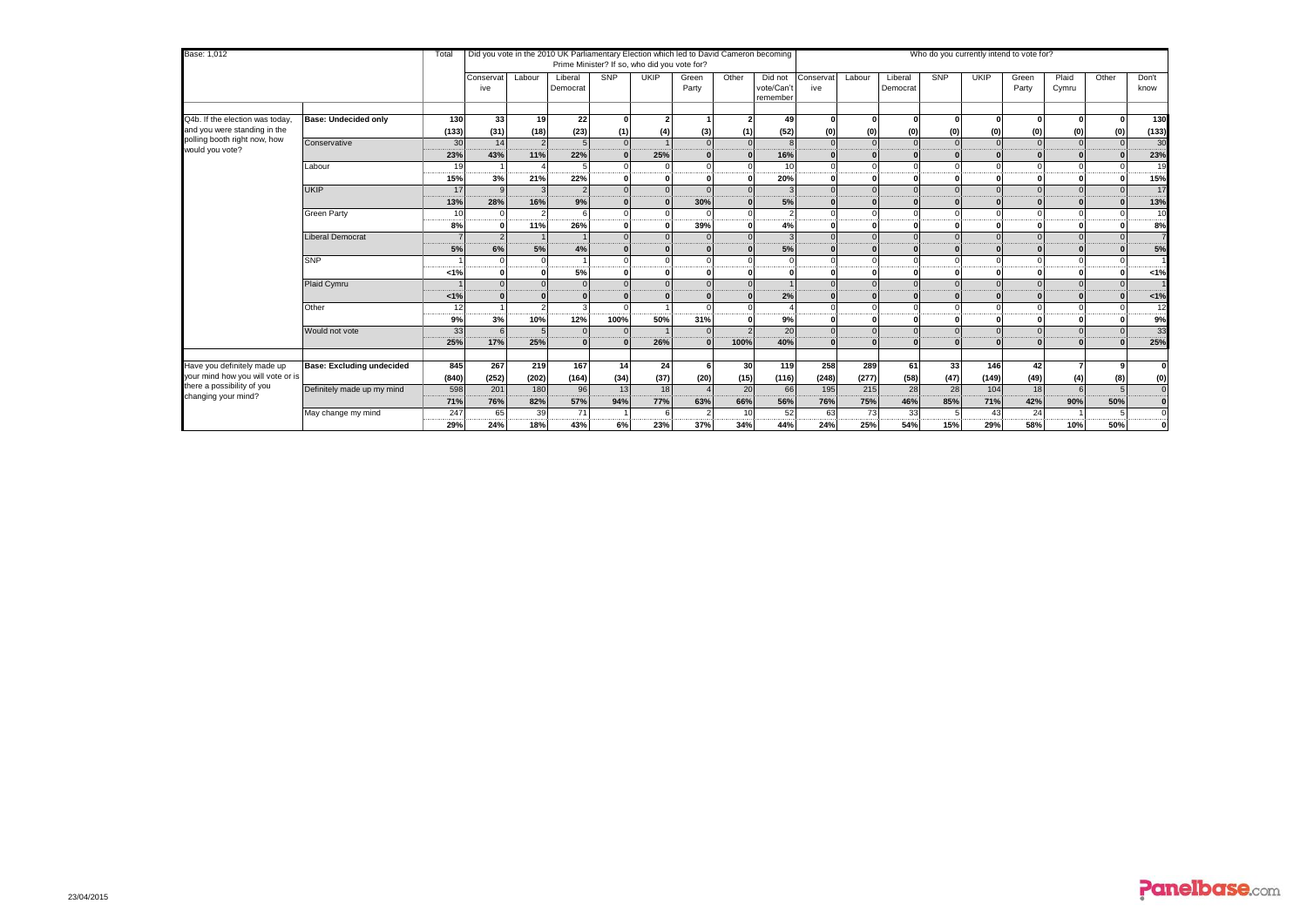| Base: 1,012                                     |                                  | Total       |                  |             |                     |            | Did you vote in the 2010 UK Parliamentary Election which led to David Cameron becoming<br>Prime Minister? If so, who did you vote for? |                |       |                                  |                  |               |                     |               | Who do you currently intend to vote for? |                |                |          |               |
|-------------------------------------------------|----------------------------------|-------------|------------------|-------------|---------------------|------------|----------------------------------------------------------------------------------------------------------------------------------------|----------------|-------|----------------------------------|------------------|---------------|---------------------|---------------|------------------------------------------|----------------|----------------|----------|---------------|
|                                                 |                                  |             |                  |             |                     |            |                                                                                                                                        |                |       |                                  |                  |               |                     |               |                                          |                |                |          |               |
|                                                 |                                  |             | Conservat<br>ive | Labour      | Liberal<br>Democrat | SNP        | <b>UKIP</b>                                                                                                                            | Green<br>Party | Other | Did not<br>vote/Can'<br>remember | Conservat<br>ive | Labour        | Liberal<br>Democrat | SNP           | <b>UKIP</b>                              | Green<br>Party | Plaid<br>Cymru | Other    | Don't<br>know |
|                                                 |                                  |             |                  |             |                     |            |                                                                                                                                        |                |       |                                  |                  |               |                     |               |                                          |                |                |          |               |
| Q4b. If the election was today,                 | <b>Base: Undecided only</b>      | 130         | 33               | 19          | 22                  |            |                                                                                                                                        |                |       | 49                               |                  |               | $\Omega$            |               |                                          |                |                |          | 130           |
| and you were standing in the                    |                                  | (133)       | (31)             | (18)        | (23)                | (1)        | (4)                                                                                                                                    | (3)            | (1)   | (52)                             | (0)              | (0)           | (0)                 | (0)           | (0)                                      | (0)            | (0)            | (0)      | (133)         |
| polling booth right now, how<br>would you vote? | Conservative                     | 30          | 14               |             |                     |            |                                                                                                                                        |                |       |                                  |                  |               |                     |               |                                          |                |                |          | 30            |
|                                                 |                                  | 23%         | 43%              | 11%         | 22%                 |            | 25%                                                                                                                                    |                |       | 16%                              |                  |               |                     |               |                                          |                |                |          | 23%           |
|                                                 | Labour                           | 19<br>      |                  |             |                     |            |                                                                                                                                        |                |       | 10                               |                  |               |                     |               |                                          |                |                |          | 19<br>------- |
|                                                 |                                  | 15%         | 3%               | 21%         | 22%                 |            |                                                                                                                                        |                |       | 20%                              |                  |               |                     |               |                                          |                |                |          | 15%           |
|                                                 | <b>UKIP</b>                      | 17          |                  |             |                     |            |                                                                                                                                        |                |       |                                  |                  |               |                     |               |                                          |                |                |          | 17            |
|                                                 |                                  | 13%         | 28%              | 16%         | 9%                  |            |                                                                                                                                        | 30%            |       | 5%                               |                  |               |                     |               |                                          |                |                |          | 13%           |
|                                                 | <b>Green Party</b>               | 10          |                  | $\Omega$    |                     |            |                                                                                                                                        |                |       |                                  |                  |               |                     |               |                                          |                |                |          | 10            |
|                                                 |                                  | 8%          |                  | 11%         | 26%                 |            |                                                                                                                                        | -----<br>39%   |       | 4%                               |                  |               |                     |               |                                          |                |                |          | <br>8%        |
|                                                 | <b>Liberal Democrat</b>          |             |                  |             |                     |            |                                                                                                                                        |                |       |                                  |                  |               |                     |               |                                          |                |                |          |               |
|                                                 |                                  | 5%          | 6%               | 5%          | 4%                  |            |                                                                                                                                        |                |       | 5%                               |                  |               |                     |               |                                          |                |                |          | 5%            |
|                                                 | <b>SNP</b>                       |             |                  |             |                     |            |                                                                                                                                        |                |       |                                  |                  |               |                     |               |                                          |                |                |          |               |
|                                                 |                                  | <br>1%      |                  |             | -------<br>5%       |            |                                                                                                                                        |                |       |                                  |                  |               |                     |               |                                          |                |                |          | <br>1%        |
|                                                 | Plaid Cymru                      |             |                  |             |                     |            |                                                                                                                                        |                |       |                                  |                  |               |                     |               |                                          |                |                | $\Omega$ |               |
|                                                 |                                  | < 1%        |                  |             |                     |            |                                                                                                                                        |                |       | 2%                               |                  |               |                     |               |                                          |                |                |          | 1%            |
|                                                 | Other                            | 12          |                  |             |                     |            |                                                                                                                                        |                |       |                                  |                  |               |                     |               |                                          |                |                |          | 12            |
|                                                 |                                  | 9%          | 3%               | 10%         | 12%                 | 100%       | <br>50%                                                                                                                                | 31%            |       | 9%                               |                  |               |                     |               |                                          |                |                |          | -----<br>9%   |
|                                                 | Would not vote                   | 33          |                  |             |                     |            |                                                                                                                                        |                |       | 20                               |                  |               |                     |               |                                          |                |                |          | 33            |
|                                                 |                                  | 25%         | 17%              | 25%         | $\Omega$            |            | 26%                                                                                                                                    |                | 100%  | 40%                              |                  |               |                     |               |                                          |                |                |          | 25%           |
|                                                 |                                  |             |                  |             |                     |            |                                                                                                                                        |                |       |                                  |                  |               |                     |               |                                          |                |                |          |               |
| Have you definitely made up                     | <b>Base: Excluding undecided</b> | 845         | 267              | 219         | 167                 | 14         | 24                                                                                                                                     |                | 30    | 119                              | 258              | 289           | 61                  | 33            | 146                                      | 42             |                |          | 0             |
| your mind how you will vote or is               |                                  | (840)       | (252)            | (202)       | (164)               | (34)       | (37)                                                                                                                                   | (20)           | (15)  | (116)                            | (248)            | (277)         | (58)                | (47)          | (149)                                    | (49)           | (4)            | (8)      | (0)           |
| there a possibility of you                      | Definitely made up my mind       | 598         | 201              | 180         | 96                  | 13         | 18                                                                                                                                     |                | 20    | 66                               | 195              | 215           | 28                  | 28            | 104                                      | 18             |                |          | $\mathbf 0$   |
| changing your mind?                             |                                  | 71%         | 76%              | 82%         | 57%                 | 94%        | <br>77%                                                                                                                                | 63%            | 66%   | 56%                              | 76%              | 75%           | 46%                 | 85%           | 71%                                      | 42%            | 90%            | 50%      | 0             |
|                                                 | May change my mind               | 247         | 65               | 39          | 71                  |            |                                                                                                                                        |                | 10    | 52                               | 63               | 73            | 33                  |               | 43                                       | 24             |                |          | $\Omega$      |
|                                                 |                                  | ----<br>29% | 24%              | ----<br>18% | <br>43%             | ----<br>6% | -----<br>23%                                                                                                                           | 37%            | 34%   | 44%                              | 24%              | ------<br>25% | -----<br>54%        | ------<br>15% | <b>BE OF \$1.50</b><br>29%               | 58%            | 10%            | 50%      | 0             |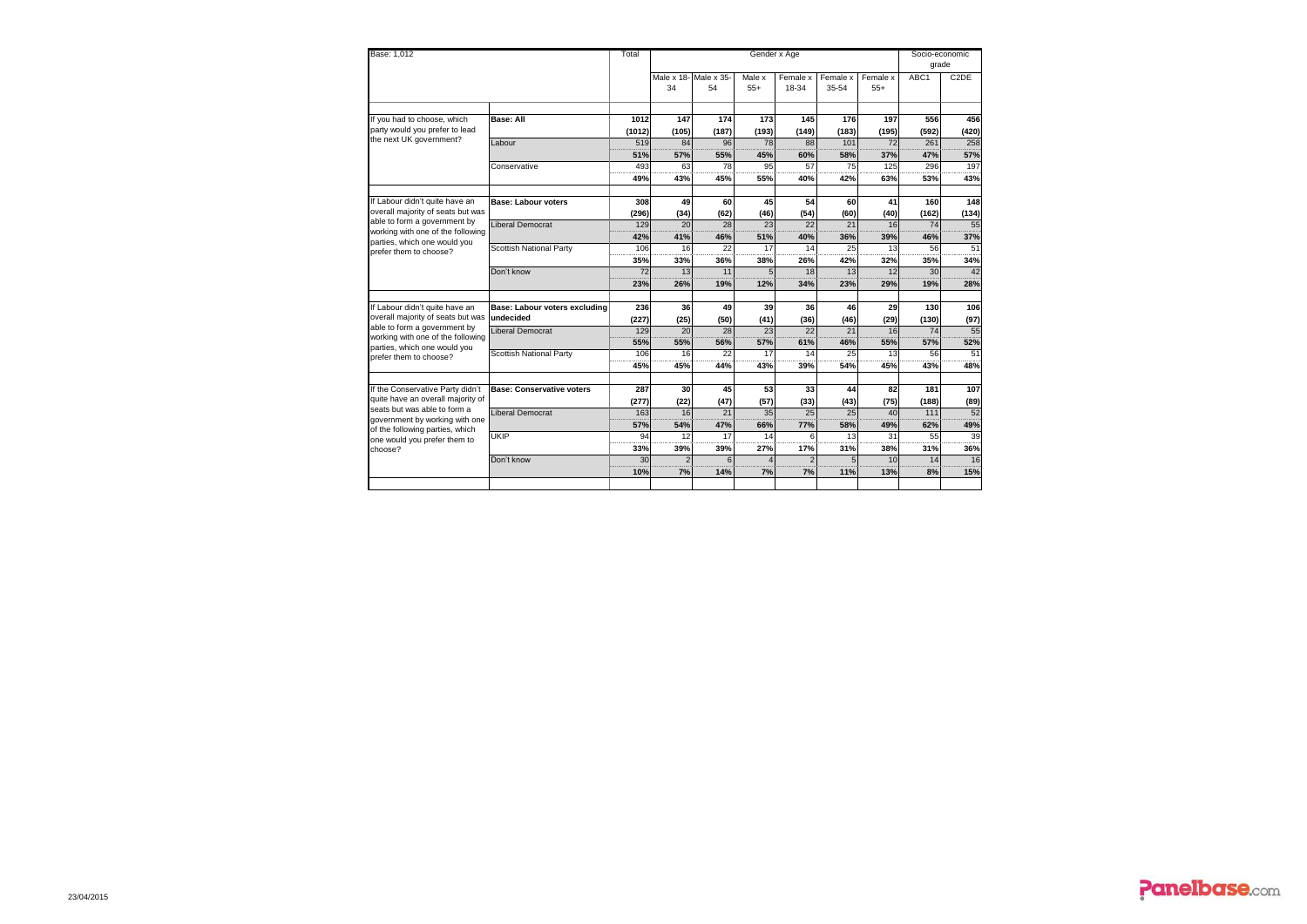|                                                                                |               |             |                            |                 | Socio-economic<br>grade |                   |                   |              |                   |
|--------------------------------------------------------------------------------|---------------|-------------|----------------------------|-----------------|-------------------------|-------------------|-------------------|--------------|-------------------|
|                                                                                |               | 34          | Male x 18-Male x 35-<br>54 | Male x<br>$55+$ | Female x<br>18-34       | Female x<br>35-54 | Female x<br>$55+$ | ABC1         | C <sub>2</sub> DE |
| If you had to choose, which                                                    |               |             |                            |                 |                         |                   |                   |              |                   |
| <b>Base: All</b><br>party would you prefer to lead                             | 1012          | 147         | 174<br>(187)               | 173             | 145                     | 176               | 197               | 556          | 456               |
| the next UK government?<br>Labour                                              | (1012)<br>519 | (105)<br>84 | 96                         | (193)<br>78     | (149)<br>88             | (183)<br>101      | (195)<br>72       | (592)<br>261 | (420)<br>258      |
|                                                                                | 51%           | 57%         | 55%                        | 45%             | 60%                     | 58%               | 37%               | 47%          | 57%               |
| Conservative                                                                   | 493           | 63          | 78                         | 95              | 57                      | 75                | 125               | 296          | 197               |
|                                                                                | 49%           | 43%         | 45%                        | 55%             | 40%                     | 42%               | 63%               | 53%          | 43%               |
| If Labour didn't quite have an<br><b>Base: Labour voters</b>                   | 308           | 49          | 60                         | 45              | 54                      | 60                | 41                | 160          | 148               |
| overall majority of seats but was                                              | (296)         | (34)        | (62)                       | (46)            | (54)                    | (60)              | (40)              | (162)        | (134)             |
| able to form a government by<br>Liberal Democrat                               | 129           | 20          | 28                         | 23              | 22                      | 21                | 16                | 74           | 55                |
| working with one of the following<br>parties, which one would you              | 42%           | 41%         | 46%                        | 51%             | 40%                     | 36%               | 39%               | 46%          | 37%               |
| Scottish National Party<br>prefer them to choose?                              | 106           | 16          | 22                         | 17              | 14                      | 25                | 13                | 56           | 51                |
|                                                                                | 35%           | 33%         | 36%                        | 38%             | 26%                     | 42%               | 32%               | 35%          | 34%               |
| Don't know                                                                     | 72            | 13          | 11                         | 5               | 18                      | 13                | 12                | 30           | 42                |
|                                                                                | 23%           | 26%         | 19%                        | 12%             | 34%                     | 23%               | 29%               | 19%          | 28%               |
|                                                                                |               |             |                            |                 |                         |                   |                   |              |                   |
| If Labour didn't quite have an<br>Base: Labour voters excluding                | 236           | 36          | 49                         | 39              | 36                      | 46                | 29                | 130          | 106               |
| overall majority of seats but was<br>undecided<br>able to form a government by | (227)         | (25)        | (50)                       | (41)            | (36)                    | (46)              | (29)              | (130)        | (97)              |
| <b>Liberal Democrat</b><br>working with one of the following                   | 129           | 20          | 28                         | 23              | 22                      | 21                | 16                | 74           | 55                |
| parties, which one would you                                                   | 55%           | 55%         | 56%                        | 57%             | 61%                     | 46%               | 55%               | 57%          | 52%               |
| Scottish National Party<br>prefer them to choose?                              | 106           | 16          | 22                         | 17              | 14                      | 25                | 13                | 56           | 51                |
|                                                                                | 45%           | 45%         | 44%                        | 43%             | 39%                     | 54%               | 45%               | 43%          | 48%               |
| If the Conservative Party didn't<br><b>Base: Conservative voters</b>           | 287           | 30          | 45                         | 53              | 33                      | 44                | 82                | 181          | 107               |
| quite have an overall majority of                                              | (277)         | (22)        | (47)                       | (57)            | (33)                    | (43)              | (75)              | (188)        | (89)              |
| seats but was able to form a<br>Liberal Democrat                               | 163           | 16          | 21                         | 35              | 25                      | 25                | 40                | 111          | 52                |
| government by working with one                                                 | 57%           | 54%         | 47%                        | 66%             | 77%                     | 58%               | 49%               | 62%          | 49%               |
| of the following parties, which<br><b>UKIP</b>                                 | 94            | 12          | 17                         | 14              | 6                       | 13                | 31                | 55           | 39                |
| one would you prefer them to<br>choose?                                        | 33%           | 39%         | 39%                        | 27%             | 17%                     | 31%               | 38%               | 31%          | 36%               |
| Don't know                                                                     | 30            | 2           |                            |                 |                         |                   | 10                | 14           | 16                |
|                                                                                | 10%           | 7%          | 14%                        | 7%              | 7%                      | 11%               | 13%               | 8%           | 15%               |
|                                                                                |               |             |                            |                 |                         |                   |                   |              |                   |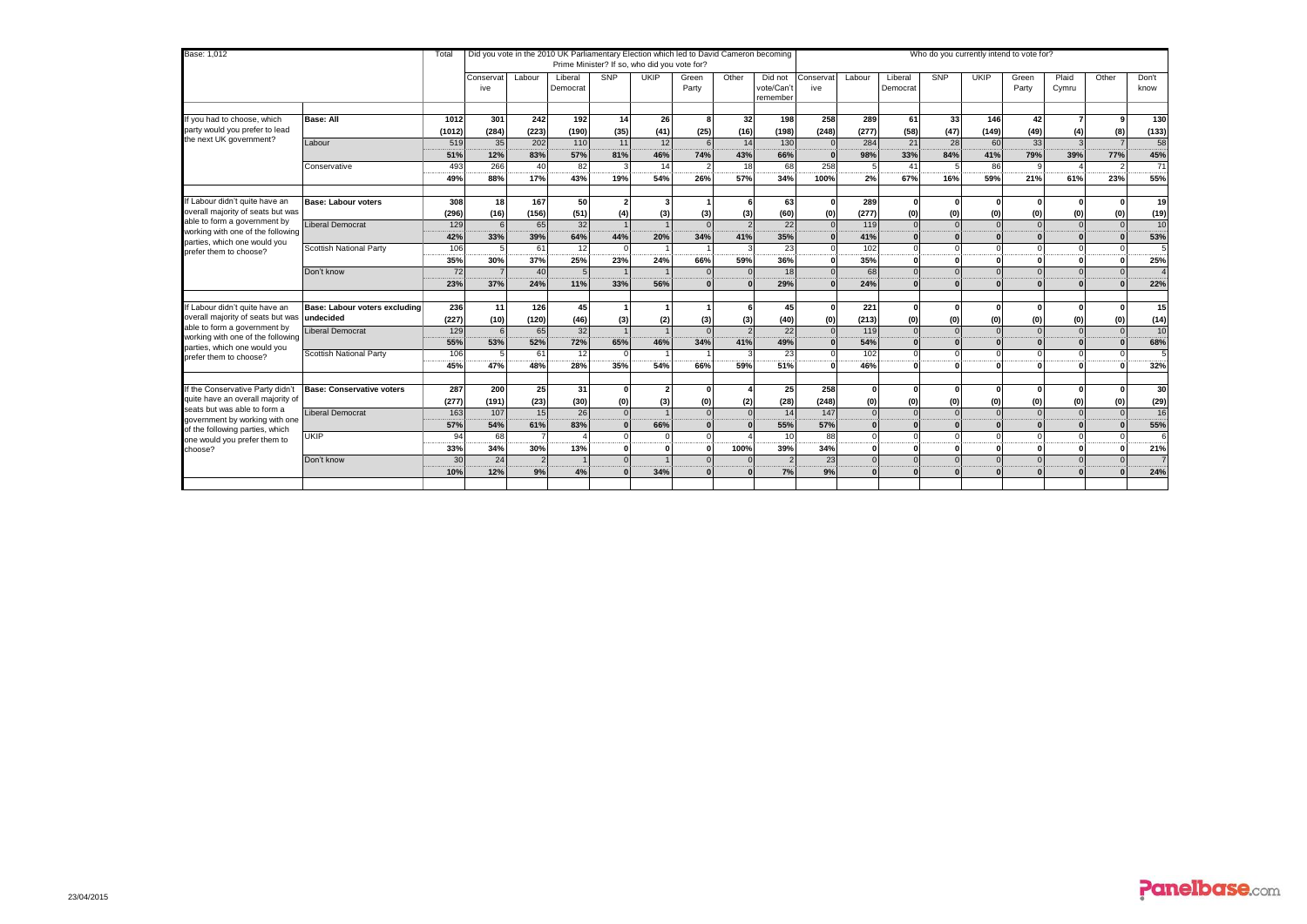| Base: 1,012                                                                                 |                                  | Total   |                  |                | Did you vote in the 2010 UK Parliamentary Election which led to David Cameron becoming |                | Prime Minister? If so, who did you vote for? |                |       |                                   |                  |          |                     | Who do you currently intend to vote for? |             |                |                |              |                        |
|---------------------------------------------------------------------------------------------|----------------------------------|---------|------------------|----------------|----------------------------------------------------------------------------------------|----------------|----------------------------------------------|----------------|-------|-----------------------------------|------------------|----------|---------------------|------------------------------------------|-------------|----------------|----------------|--------------|------------------------|
|                                                                                             |                                  |         | Conservat<br>ive | Labour         | Liberal<br>Democrat                                                                    | SNP            | <b>UKIP</b>                                  | Green<br>Party | Other | Did not<br>vote/Can't<br>remember | Conservat<br>ive | Labour   | Liberal<br>Democrat | SNP                                      | <b>UKIP</b> | Green<br>Party | Plaid<br>Cymru | Other        | Don't<br>know          |
| If you had to choose, which                                                                 | <b>Base: All</b>                 | 1012    | 301              | 242            | 192                                                                                    | 14             | 26                                           |                | 32    | 198                               | 258              | 289      | 61                  | -33                                      | 146         | 42             |                | $\alpha$     | 130                    |
| party would you prefer to lead                                                              |                                  | (1012)  | (284)            | (223)          | (190)                                                                                  | (35)           | (41)                                         | (25)           | (16)  | (198)                             | (248)            | (277)    | (58)                | (47)                                     | (149)       | (49)           | (4)            | (8)          | (133)                  |
| the next UK government?                                                                     | Labour                           | 519     | 35               | 202            | 110                                                                                    | 11             | 12                                           |                | 14    | 130                               |                  | 284      | 21                  | 28                                       | 60          | 33             |                |              | 58                     |
|                                                                                             |                                  | 51%     | 12%              | 83%            | 57%                                                                                    | 81%            | 46%                                          | 74%            | 43%   | 66%                               |                  | 98%      | 33%                 | 84%                                      | 41%         | 79%            | 39%            | 77%          | 45%                    |
|                                                                                             | Conservative                     | 493     | 266              | 40             | 82                                                                                     | 3              | 14                                           |                | 18    | 68                                | 258              |          | 41                  |                                          | 86          | a              |                |              | 71                     |
|                                                                                             |                                  | 49%     | 88%              | 17%            | 43%                                                                                    | 19%            | 54%                                          | 26%            | 57%   | 34%                               | 100%             | 2%       | 67%                 | 16%                                      | 59%         | 21%            | 61%            | 23%          | 55%                    |
| If Labour didn't quite have an                                                              | <b>Base: Labour voters</b>       | 308     | 18 <sup>1</sup>  | 167            | 50                                                                                     | $\overline{2}$ |                                              |                | 6     | 63                                | $\Omega$         | 289      | $\mathbf{0}$        | $\Omega$                                 |             |                |                | $\mathbf{r}$ | 19                     |
| overall majority of seats but was                                                           |                                  | (296)   | (16)             | (156)          | (51)                                                                                   | (4)            | (3)                                          | (3)            | (3)   | (60)                              | (0)              | (277)    | (0)                 | (0)                                      | (0)         | (0)            | (0)            | (0)          | (19)                   |
| able to form a government by                                                                | <b>Liberal Democrat</b>          | 129     |                  | 65             | $\overline{32}$                                                                        |                |                                              |                |       | 22                                |                  | 119      | $\Omega$            | $\Omega$                                 |             | $\Omega$       | $\Omega$       | $\Omega$     | 10                     |
| working with one of the following<br>parties, which one would you<br>prefer them to choose? |                                  | 42%     | 33%              | 39%            | 64%                                                                                    | 44%            | 20%                                          | 34%            | 41%   | 35%                               |                  | 41%      |                     |                                          |             |                |                | $\Omega$     | 53%                    |
|                                                                                             | Scottish National Party          | 106<br> |                  | 61             | 12<br>-----                                                                            | $\Omega$<br>   |                                              |                |       | 23                                |                  | 102      |                     |                                          |             |                |                |              |                        |
|                                                                                             |                                  | 35%     | 30%              | 37%            | 25%                                                                                    | 23%            | 24%                                          | 66%            | 59%   | 36%                               |                  | 35%      | $\mathbf{r}$        |                                          |             |                |                |              | 25%                    |
|                                                                                             | Don't know                       | 72      |                  | 40             | 5                                                                                      |                |                                              |                |       | 18                                |                  | 68       | $\Omega$            | $\Omega$                                 |             | $\Omega$       |                | $\Omega$     | $\boldsymbol{\Lambda}$ |
|                                                                                             |                                  | 23%     | 37%              | 24%            | 11%                                                                                    | 33%            | 56%                                          |                |       | 29%                               |                  | 24%      | $\Omega$            | $\sqrt{2}$                               |             |                |                | $\Omega$     | 22%                    |
| If Labour didn't quite have an                                                              | Base: Labour voters excluding    | 236     | 11               | 126            | 45                                                                                     |                |                                              |                |       | 45                                | $\Omega$         | 221      | $\Omega$            | $\mathbf{r}$                             |             | $\Omega$       |                | $\Omega$     | 15                     |
| overall majority of seats but was                                                           | undecided                        | (227)   | (10)             | (120)          | (46)                                                                                   | (3)            | (2)                                          | (3)            | (3)   | (40)                              | (0)              | (213)    | (0)                 | (0)                                      | (0)         | (0)            | (0)            | (0)          | (14)                   |
| able to form a government by<br>working with one of the following                           | Liberal Democrat                 | 129     |                  | 65             | 32                                                                                     |                |                                              |                |       | 22                                |                  | 119      |                     |                                          |             |                | $\Omega$       | $\Omega$     | 10                     |
| parties, which one would you                                                                |                                  | 55%     | 53%              | 52%            | 72%                                                                                    | 65%            | 46%                                          | 34%            | 41%   | 49%                               |                  | 54%      |                     |                                          |             |                |                | $\Omega$     | 68%                    |
| prefer them to choose?                                                                      | Scottish National Party          | 106     |                  | 61             | 12                                                                                     |                |                                              |                |       | 23                                |                  | 102      |                     |                                          |             |                |                |              |                        |
|                                                                                             |                                  | 45%     | 47%              | 48%            | 28%                                                                                    | 35%            | 54%                                          | 66%            | 59%   | 51%                               |                  | 46%      | $\Omega$            | n                                        |             |                |                |              | 32%                    |
| If the Conservative Party didn't                                                            | <b>Base: Conservative voters</b> | 287     | 200              | 25             | 31                                                                                     | $\mathbf{0}$   |                                              |                |       | 25                                | 258              | $\Omega$ | $\mathbf{0}$        | $\Omega$                                 |             |                |                | $\mathbf{r}$ | 30                     |
| quite have an overall majority of                                                           |                                  | (277)   | (191)            | (23)           | (30)                                                                                   | (0)            | (3)                                          | (0)            | (2)   | (28)                              | (248)            | (0)      | (0)                 | (0)                                      | (0)         | (0)            | (0)            | (0)          | (29)                   |
| seats but was able to form a                                                                | Liberal Democrat                 | 163     | 107              | 15             | 26                                                                                     | $\Omega$       |                                              |                |       | 14                                | 147              |          |                     |                                          |             | $\Omega$       |                |              | 16                     |
| government by working with one                                                              |                                  | 57%     | 54%              | 61%            | 83%                                                                                    |                | 66%                                          |                |       | 55%                               | 57%              | n        |                     |                                          |             |                |                |              | 55%                    |
| of the following parties, which<br>one would you prefer them to                             | UKIP                             | 94      | 68               |                |                                                                                        | $\Omega$       |                                              |                |       | 10                                | 88               | $\Omega$ | $\Omega$            |                                          |             | $\Omega$       |                |              | 6                      |
| choose?                                                                                     |                                  | 33%     | 34%              | 30%            | 13%                                                                                    |                |                                              |                | 100%  | 39%                               | 34%              | O        |                     |                                          |             |                |                | $\Omega$     | 21%                    |
|                                                                                             | Don't know                       | 30      | 24               | $\overline{2}$ |                                                                                        | $\Omega$       |                                              |                |       |                                   | 23               |          |                     |                                          |             |                |                |              |                        |
|                                                                                             |                                  | 10%     | 12%              | 9%             | 4%                                                                                     |                | 34%                                          |                |       | 7%                                | 9%               |          |                     |                                          |             |                |                |              | 24%                    |
|                                                                                             |                                  |         |                  |                |                                                                                        |                |                                              |                |       |                                   |                  |          |                     |                                          |             |                |                |              |                        |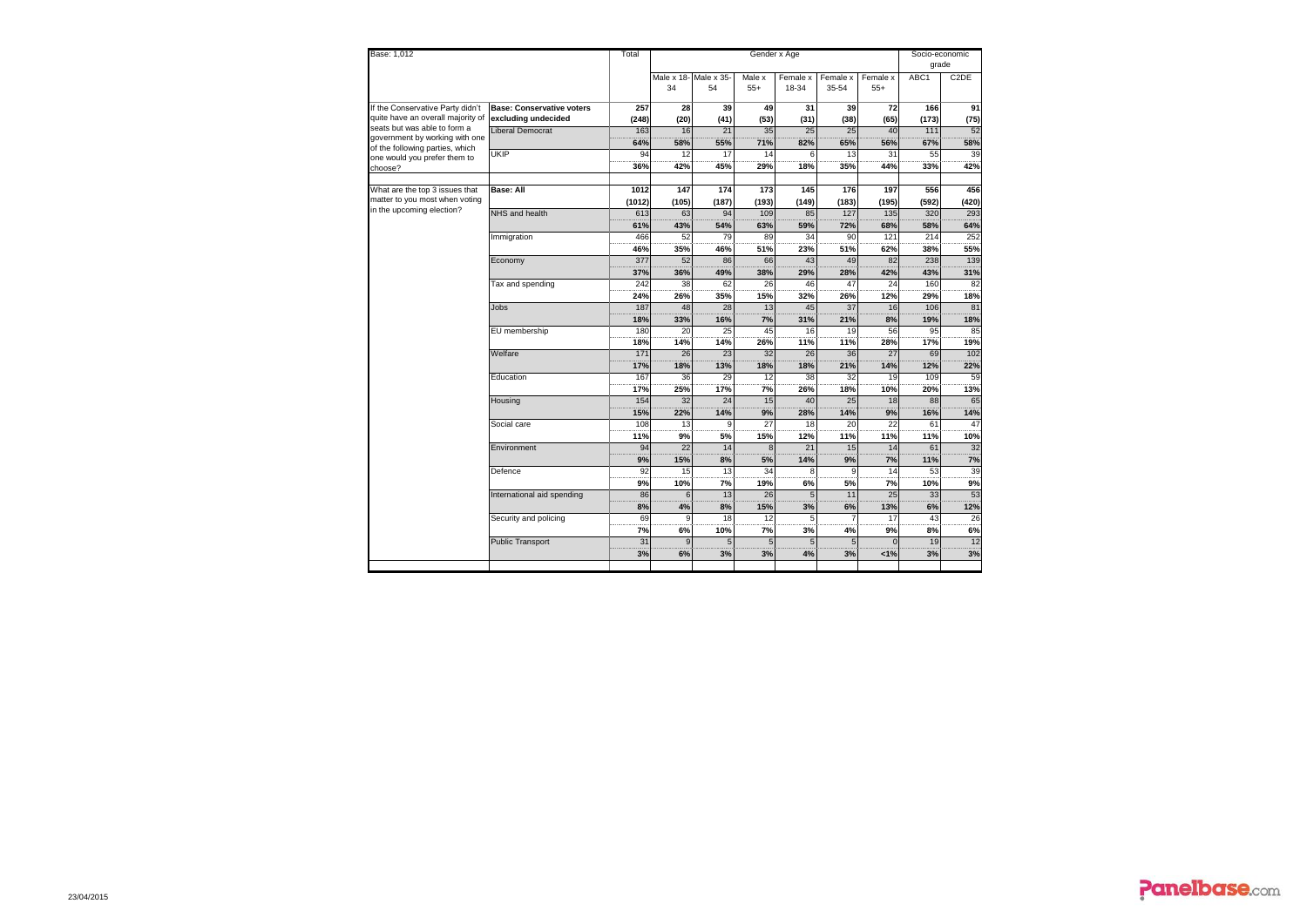| Base: 1,012                                                    |                                  | Total    |       |                       |                 | Socio-economic |                |                 |       |                   |
|----------------------------------------------------------------|----------------------------------|----------|-------|-----------------------|-----------------|----------------|----------------|-----------------|-------|-------------------|
|                                                                |                                  |          |       |                       |                 |                |                |                 | grade |                   |
|                                                                |                                  |          |       | Male x 18- Male x 35- | Male x          | Female x       | Female x       | Female x        | ABC1  | C <sub>2</sub> DE |
|                                                                |                                  |          | 34    | 54                    | $55+$           | 18-34          | 35-54          | $55+$           |       |                   |
| If the Conservative Party didn't                               | <b>Base: Conservative voters</b> | 257      | 28    | 39                    | 49              | 31             | 39             | 72              | 166   | 91                |
| quite have an overall majority of                              | excluding undecided              | (248)    | (20)  | (41)                  | (53)            | (31)           | (38)           | (65)            | (173) | (75)              |
| seats but was able to form a<br>government by working with one | Liberal Democrat                 | 163      | 16    | 21                    | 35              | 25             | 25             | 40              | 111   | 52                |
| of the following parties, which                                |                                  | 64%      | 58%   | 55%                   | 71%             | 82%            | 65%            | 56%             | 67%   | 58%               |
| one would you prefer them to                                   | <b>UKIP</b>                      | 94       | 12    | 17                    | 14              | 6              | 13             | 31              | 55    | 39                |
| choose?                                                        |                                  | 36%      | 42%   | 45%                   | 29%             | 18%            | 35%            | 44%             | 33%   | 42%               |
|                                                                |                                  |          |       |                       |                 |                |                |                 |       |                   |
| What are the top 3 issues that                                 | Base: All                        | 1012     | 147   | 174                   | 173             | 145            | 176            | 197             | 556   | 456               |
| matter to you most when voting                                 |                                  | (1012)   | (105) | (187)                 | (193)           | (149)          | (183)          | (195)           | (592) | (420)             |
| in the upcoming election?                                      | NHS and health                   | 613      | 63    | 94                    | 109             | 85             | 127            | 135             | 320   | 293               |
|                                                                |                                  | 61%      | 43%   | 54%                   | 63%             | 59%            | 72%            | 68%             | 58%   | 64%               |
|                                                                | Immigration                      | 466      | 52    | 79                    | 89              | 34             | 90             | 121             | 214   | 252               |
|                                                                |                                  | 46%      | 35%   | 46%                   | 51%             | 23%            | 51%            | 62%             | 38%   | 55%               |
|                                                                | Economy                          | 377      | 52    | 86                    | 66              | 43             | 49             | 82              | 238   | 139               |
|                                                                |                                  | 37%      | 36%   | 49%                   | 38%             | 29%            | 28%            | 42%             | 43%   | 31%               |
|                                                                | Tax and spending                 | 242      | 38    | 62                    | 26              | 46             | 47             | 24              | 160   | 82                |
|                                                                |                                  | 24%      | 26%   | 35%                   | 15%             | 32%            | 26%            | 12%             | 29%   | 18%               |
|                                                                | Jobs                             | 187      | 48    | 28                    | 13              | 45             | 37             | 16              | 106   | 81                |
|                                                                |                                  | 18%      | 33%   | 16%                   | 7%              | 31%            | 21%            | 8%              | 19%   | 18%               |
|                                                                | EU membership                    | 180      | 20    | 25                    | 45              | 16             | 19             | 56              | 95    | 85                |
|                                                                |                                  | 18%      | 14%   | 14%                   | 26%             | 11%            | 11%            | 28%             | 17%   | 19%               |
|                                                                | Welfare                          | 171      | 26    | 23                    | 32              | 26             | 36             | 27              | 69    | 102               |
|                                                                |                                  | 17%      | 18%   | 13%                   | 18%             | 18%            | 21%            | 14%             | 12%   | 22%               |
|                                                                | Education                        | 167      | 36    | 29                    | 12              | 38             | 32             | 19              | 109   | 59                |
|                                                                |                                  | 17%      | 25%   | 17%                   | 7%              | 26%            | 18%            | 10%             | 20%   | 13%               |
|                                                                | Housing                          | 154      | 32    | 24                    | 15              | 40             | 25             | 18              | 88    | 65                |
|                                                                |                                  | 15%      | 22%   | 14%                   | 9%              | 28%            | 14%            | 9%              | 16%   | 14%               |
|                                                                | Social care                      | 108      | 13    | 9                     | $\overline{27}$ | 18             | 20             | $\overline{22}$ | 61    | 47                |
|                                                                |                                  | 11%      | 9%    | 5%                    | 15%             | 12%            | 11%            | 11%             | 11%   | 10%               |
|                                                                | Environment                      | 94       | 22    | 14                    | 8               | 21             | 15             | 14              | 61    | 32                |
|                                                                |                                  | 9%       | 15%   | 8%                    | 5%              | 14%            | 9%             | 7%              | 11%   | 7%                |
|                                                                | Defence                          | 92       | 15    | 13                    | 34              |                | $\mathbf{Q}$   | 14              | 53    | 39                |
|                                                                |                                  | 9%       | 10%   | 7%                    | 19%             | 6%             | 5%             | 7%              | 10%   | 9%                |
|                                                                | International aid spending       | 86       | 6     | 13                    | 26              | 5              | 11             | 25              | 33    | 53                |
|                                                                |                                  | 8%<br>69 | 4%    | 8%                    | 15%             | 3%             | 6%             | 13%             | 6%    | 12%               |
|                                                                | Security and policing            |          | 9     | 18                    | 12              | 5              | $\overline{7}$ | 17              | 43    | 26                |
|                                                                |                                  | 7%       | 6%    | 10%                   | 7%              | 3%             | 4%             | 9%              | 8%    | 6%                |
|                                                                | Public Transport                 | 31       | 9     | 5                     | 5               |                | 5              |                 | 19    | 12                |
|                                                                |                                  | 3%       | 6%    | 3%                    | 3%              | 4%             | 3%             | 1%              | 3%    | 3%                |
|                                                                |                                  |          |       |                       |                 |                |                |                 |       |                   |